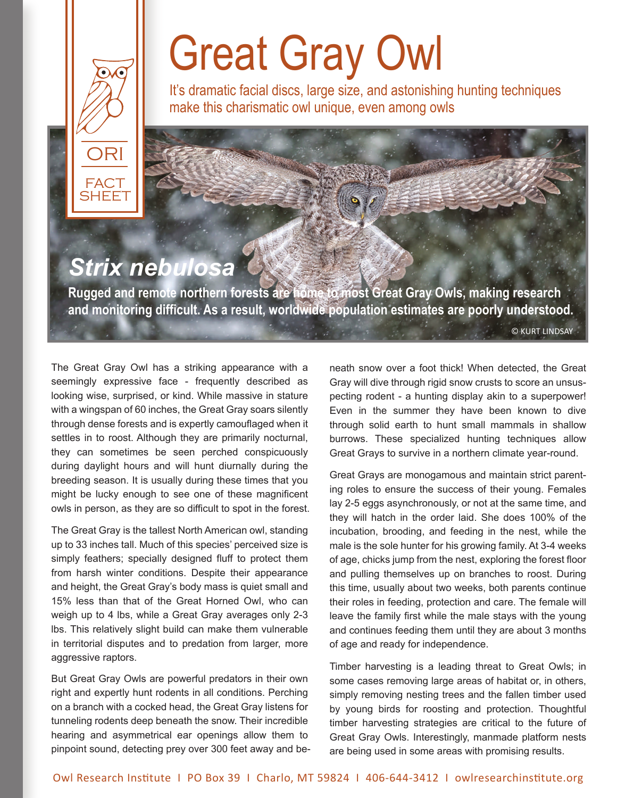# Great Gray Owl

It's dramatic facial discs, large size, and astonishing hunting techniques make this charismatic owl unique, even among owls

### *Strix nebulosa*

ORI

FACT **SHEET** 

**Rugged and remote northern forests are home to most Great Gray Owls, making research and monitoring difficult. As a result, worldwide population estimates are poorly understood.** 

© KURT LINDSAY

The Great Gray Owl has a striking appearance with a seemingly expressive face - frequently described as looking wise, surprised, or kind. While massive in stature with a wingspan of 60 inches, the Great Gray soars silently through dense forests and is expertly camouflaged when it settles in to roost. Although they are primarily nocturnal, they can sometimes be seen perched conspicuously during daylight hours and will hunt diurnally during the breeding season. It is usually during these times that you might be lucky enough to see one of these magnificent owls in person, as they are so difficult to spot in the forest.

The Great Gray is the tallest North American owl, standing up to 33 inches tall. Much of this species' perceived size is simply feathers; specially designed fluff to protect them from harsh winter conditions. Despite their appearance and height, the Great Gray's body mass is quiet small and 15% less than that of the Great Horned Owl, who can weigh up to 4 lbs, while a Great Gray averages only 2-3 lbs. This relatively slight build can make them vulnerable in territorial disputes and to predation from larger, more aggressive raptors.

But Great Gray Owls are powerful predators in their own right and expertly hunt rodents in all conditions. Perching on a branch with a cocked head, the Great Gray listens for tunneling rodents deep beneath the snow. Their incredible hearing and asymmetrical ear openings allow them to pinpoint sound, detecting prey over 300 feet away and beneath snow over a foot thick! When detected, the Great Gray will dive through rigid snow crusts to score an unsuspecting rodent - a hunting display akin to a superpower! Even in the summer they have been known to dive through solid earth to hunt small mammals in shallow burrows. These specialized hunting techniques allow Great Grays to survive in a northern climate year-round.

Great Grays are monogamous and maintain strict parenting roles to ensure the success of their young. Females lay 2-5 eggs asynchronously, or not at the same time, and they will hatch in the order laid. She does 100% of the incubation, brooding, and feeding in the nest, while the male is the sole hunter for his growing family. At 3-4 weeks of age, chicks jump from the nest, exploring the forest floor and pulling themselves up on branches to roost. During this time, usually about two weeks, both parents continue their roles in feeding, protection and care. The female will leave the family first while the male stays with the young and continues feeding them until they are about 3 months of age and ready for independence.

Timber harvesting is a leading threat to Great Owls; in some cases removing large areas of habitat or, in others, simply removing nesting trees and the fallen timber used by young birds for roosting and protection. Thoughtful timber harvesting strategies are critical to the future of Great Gray Owls. Interestingly, manmade platform nests are being used in some areas with promising results.